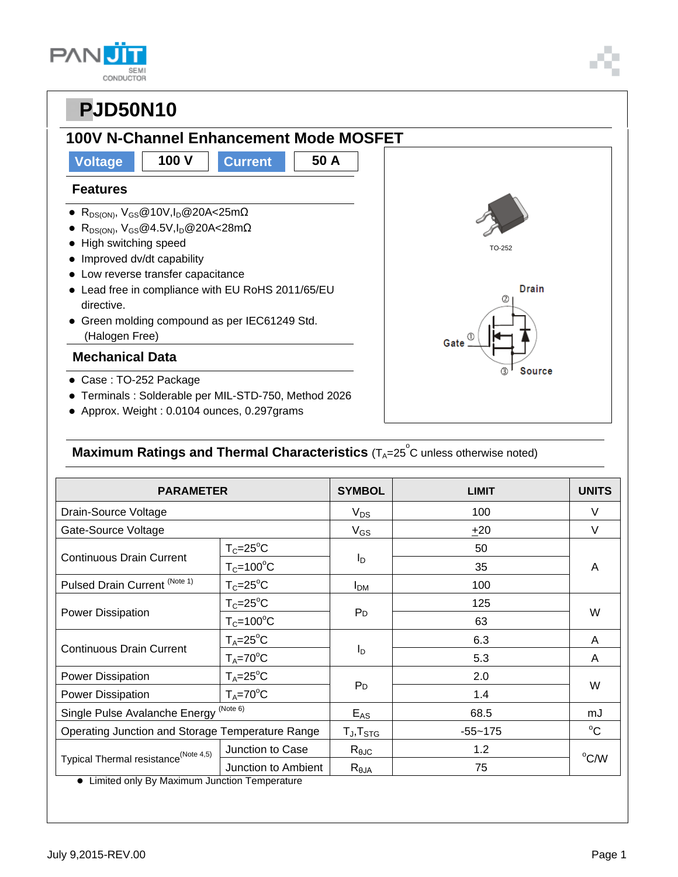| <b>SEM</b><br>CONDUCTOR |
|-------------------------|

## **100V N-Channel Enhancement Mode MOSFET**

## **Voltage 100 V Current 50 A**

#### **Features**

- $\bullet$  R<sub>DS(ON)</sub>, V<sub>GS</sub>@10V,I<sub>D</sub>@20A<25m $\Omega$
- $\bullet$  R<sub>DS(ON)</sub>, V<sub>GS</sub>@4.5V,I<sub>D</sub>@20A<28m $\Omega$
- High switching speed
- Improved dv/dt capability
- Low reverse transfer capacitance
- Lead free in compliance with EU RoHS 2011/65/EU directive.
- Green molding compound as per IEC61249 Std. (Halogen Free)

#### **Mechanical Data**

- Case : TO-252 Package
- Terminals : Solderable per MIL-STD-750, Method 2026
- Approx. Weight : 0.0104 ounces, 0.297grams

### **Maximum Ratings and Thermal Characteristics** (T<sub>A</sub>=25<sup>°</sup>C unless otherwise noted)

| <b>PARAMETER</b>                                                                                  |                      | <b>SYMBOL</b>          | <b>LIMIT</b> | <b>UNITS</b> |  |
|---------------------------------------------------------------------------------------------------|----------------------|------------------------|--------------|--------------|--|
| Drain-Source Voltage                                                                              |                      | $V_{DS}$               | 100          | V            |  |
| Gate-Source Voltage                                                                               |                      | $V_{GS}$               | ±20          | V            |  |
| <b>Continuous Drain Current</b>                                                                   | $T_c = 25$ °C        | Iр                     | 50           | A            |  |
|                                                                                                   | $T_c = 100^{\circ}C$ |                        | 35           |              |  |
| Pulsed Drain Current (Note 1)                                                                     | $T_c = 25$ °C        | <b>I</b> <sub>DM</sub> | 100          |              |  |
| Power Dissipation                                                                                 | $T_c = 25$ °C        | P <sub>D</sub>         | 125          | W            |  |
|                                                                                                   | $T_c = 100^{\circ}C$ |                        | 63           |              |  |
| <b>Continuous Drain Current</b>                                                                   | $T_A = 25$ °C        | I <sub>D</sub>         | 6.3          | A            |  |
|                                                                                                   | $T_A = 70$ °C        |                        | 5.3          | A            |  |
| <b>Power Dissipation</b>                                                                          | $T_A = 25$ °C        |                        | 2.0          | W            |  |
| Power Dissipation                                                                                 | $T_A = 70$ °C        | P <sub>D</sub>         | 1.4          |              |  |
| Single Pulse Avalanche Energy <sup>(Note 6)</sup>                                                 |                      | $E_{AS}$               | 68.5         | mJ           |  |
| Operating Junction and Storage Temperature Range                                                  |                      | $T_J$ , $T_{STG}$      | $-55 - 175$  | $^{\circ}$ C |  |
| Typical Thermal resistance <sup>(Note 4,5)</sup><br>I imited only By Maximum Junction Temperature | Junction to Case     | $R_{\theta$ JC         | 1.2          | °C/W         |  |
|                                                                                                   | Junction to Ambient  | $R_{\theta$ JA         | 75           |              |  |

Limited only By Maximum Junction Temperature

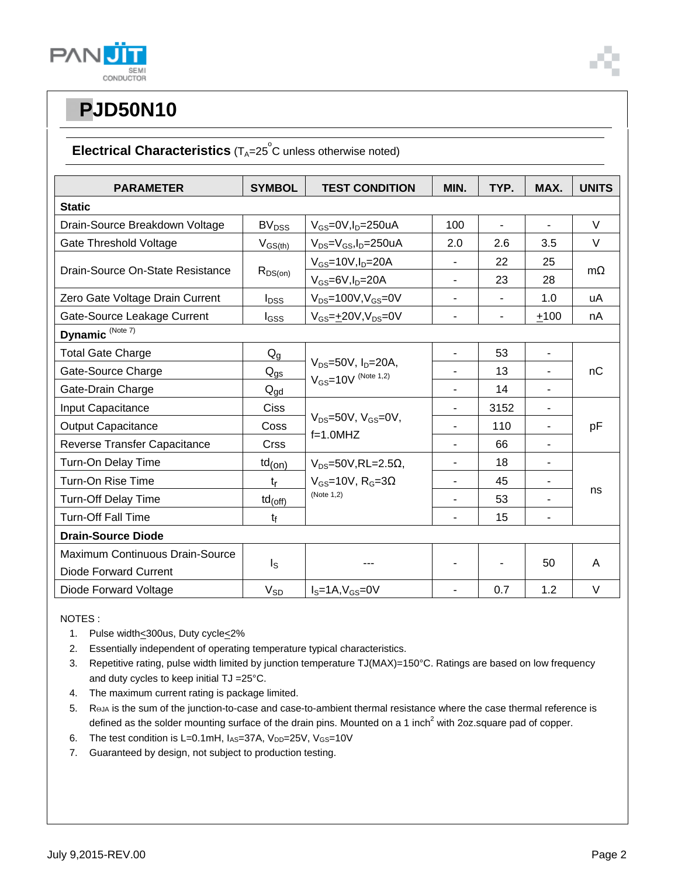

### **Electrical Characteristics** (T<sub>A</sub>=25<sup>°</sup>C unless otherwise noted)

| <b>PARAMETER</b>                    | <b>SYMBOL</b>                                           | <b>TEST CONDITION</b>                                       | MIN.                     | TYP. | MAX.                     | <b>UNITS</b> |
|-------------------------------------|---------------------------------------------------------|-------------------------------------------------------------|--------------------------|------|--------------------------|--------------|
| <b>Static</b>                       |                                                         |                                                             |                          |      |                          |              |
| Drain-Source Breakdown Voltage      | BV <sub>DSS</sub>                                       | $V_{GS}$ =0V,I <sub>D</sub> =250uA                          | 100                      | ä,   | L,                       | $\vee$       |
| Gate Threshold Voltage              | $V_{GS(th)}$                                            | $V_{DS} = V_{GS}$ , I <sub>D</sub> =250uA                   | 2.0                      | 2.6  | 3.5                      | V            |
| Drain-Source On-State Resistance    |                                                         | $V_{GS}$ =10V, $I_D$ =20A                                   |                          | 22   | 25                       | $m\Omega$    |
|                                     | $R_{DS(on)}$                                            | $V_{GS} = 6V, I_D = 20A$                                    | $\overline{\phantom{0}}$ | 23   | 28                       |              |
| Zero Gate Voltage Drain Current     | $I_{DSS}$                                               | $V_{DS}$ =100V, $V_{GS}$ =0V                                | $\overline{\phantom{0}}$ | ۰    | 1.0                      | uA           |
| Gate-Source Leakage Current         | $I_{GSS}$                                               | $V_{GS} = \pm 20V, V_{DS} = 0V$                             |                          | ÷,   | ±100                     | nA           |
| Dynamic <sup>(Note 7)</sup>         |                                                         |                                                             |                          |      |                          |              |
| <b>Total Gate Charge</b>            | $Q_g$                                                   | $V_{DS} = 50V$ , $I_D = 20A$ ,<br>$V_{GS} = 10V$ (Note 1,2) |                          | 53   | $\blacksquare$           | nC           |
| Gate-Source Charge                  | $\mathsf{Q}_{\underline{\text{g}}\underline{\text{s}}}$ |                                                             |                          | 13   |                          |              |
| Gate-Drain Charge                   | $Q_{\text{qd}}$                                         |                                                             | $\overline{\phantom{0}}$ | 14   | $\blacksquare$           |              |
| Input Capacitance                   | <b>Ciss</b>                                             | $V_{DS}$ =50V, $V_{GS}$ =0V,<br>$f=1.0$ MHZ                 |                          | 3152 | $\blacksquare$           | pF           |
| <b>Output Capacitance</b>           | Coss                                                    |                                                             |                          | 110  | -                        |              |
| <b>Reverse Transfer Capacitance</b> | <b>Crss</b>                                             |                                                             |                          | 66   | $\blacksquare$           |              |
| Turn-On Delay Time                  | $td_{(on)}$                                             | $V_{DS}$ =50V, RL=2.5 $\Omega$ ,                            |                          | 18   | $\overline{\phantom{0}}$ |              |
| Turn-On Rise Time                   | $t_{r}$                                                 | $V_{GS}$ =10V, R <sub>G</sub> =3 $\Omega$<br>(Note 1,2)     | $\overline{\phantom{0}}$ | 45   | $\blacksquare$           | ns           |
| Turn-Off Delay Time                 | $td_{(off)}$                                            |                                                             |                          | 53   |                          |              |
| <b>Turn-Off Fall Time</b>           | $t_{f}$                                                 |                                                             |                          | 15   |                          |              |
| <b>Drain-Source Diode</b>           |                                                         |                                                             |                          |      |                          |              |
| Maximum Continuous Drain-Source     |                                                         | ls                                                          |                          |      |                          |              |
| <b>Diode Forward Current</b>        |                                                         |                                                             |                          |      | 50                       | A            |
| Diode Forward Voltage               | $V_{SD}$                                                | $IS=1A, VGS=0V$                                             |                          | 0.7  | 1.2                      | V            |

NOTES :

- 1. Pulse width<300us, Duty cycle<2%
- 2. Essentially independent of operating temperature typical characteristics.
- 3. Repetitive rating, pulse width limited by junction temperature TJ(MAX)=150°C. Ratings are based on low frequency and duty cycles to keep initial TJ = 25°C.
- 4. The maximum current rating is package limited.
- 5. Reja is the sum of the junction-to-case and case-to-ambient thermal resistance where the case thermal reference is defined as the solder mounting surface of the drain pins. Mounted on a 1 inch<sup>2</sup> with 2oz.square pad of copper.
- 6. The test condition is L=0.1mH,  $I_{AS}$ =37A,  $V_{DD}$ =25V,  $V_{GS}$ =10V
- 7. Guaranteed by design, not subject to production testing.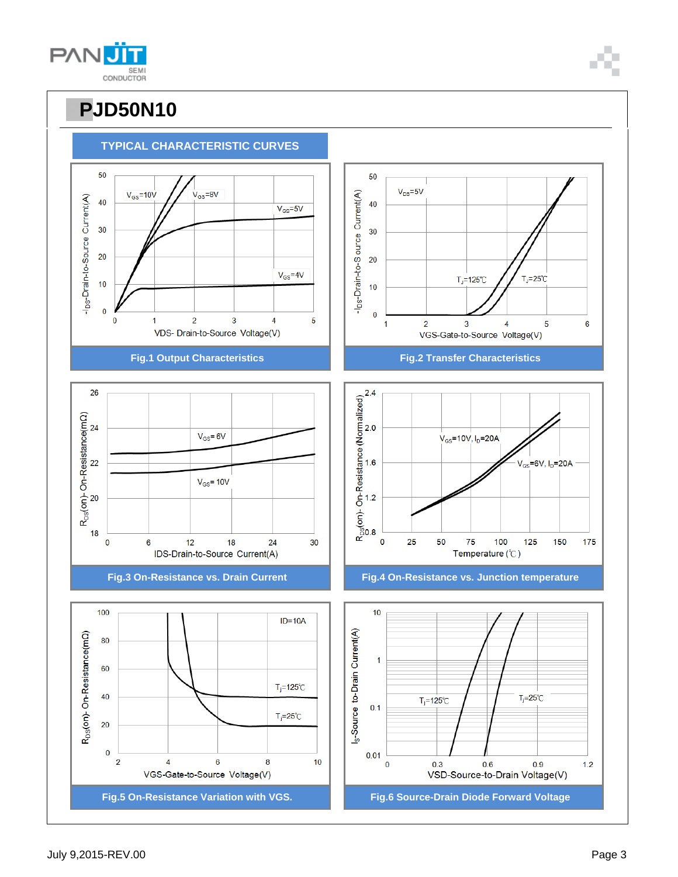**PANU SEM** CONDUCTOR

## **PPJD50N10**



6

175

 $1.2$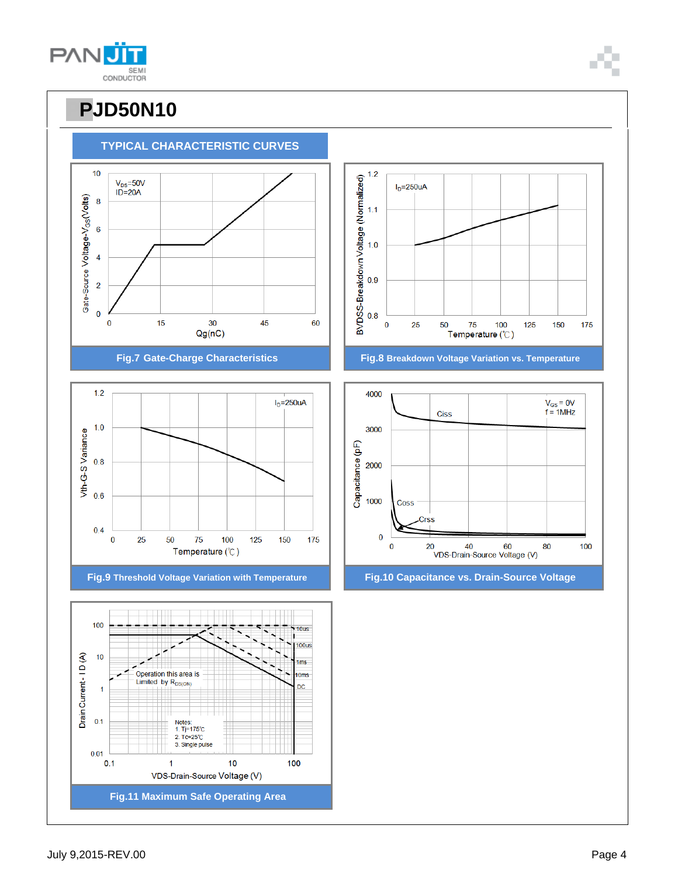July 9,2015-REV.00 Page 4

**Fig.11 Maximum Safe Operating Area**

VDS-Drain-Source Voltage (V)



### **TYPICAL CHARACTERISTIC CURVES**

**PANU** SEMI CONDUCTOR









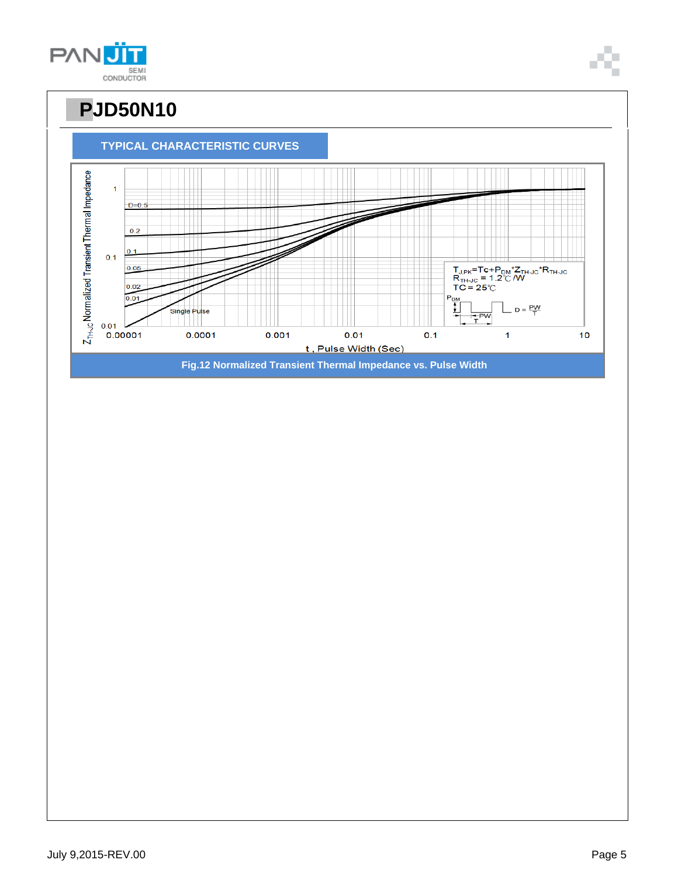**PPJD50N10 TYPICAL CHARACTERISTIC CURVES** Z<sub>TH-JC</sub> Normalized Transient Thermal Impedance  $\overline{1}$  $D=0.5$  $0.2$ Ш  $0.1$  $0.1$  $\begin{array}{l} \mathsf{T}_{\mathsf{J},\mathsf{PK}}\mathsf{=} \mathsf{Te}\mathsf{+}\mathsf{P}_{\mathsf{DM}}\mathsf{^{\star}Z_{\mathsf{TH}\mathsf{+}\mathsf{JC}}}\mathsf{^{\star}R_{\mathsf{TH}\mathsf{+}\mathsf{JC}}}\\ \mathsf{R}_{\mathsf{TH}\mathsf{+}\mathsf{JC}}\mathsf{=}\mathsf{1}.\mathsf{2}^{\circ}\mathbb{C}\,\mathsf{/}\mathsf{W} \\ \mathsf{TC}\mathsf{=}\mathsf{2}\mathsf{5}^{\circ}\mathbb{C} \end{array}$  $0.05$  $|0.02|$  $0.01$  $P_{\frac{DN}{4}}$  $D = \frac{PW}{T}$ Single Pulse  $-\overline{P}$ F  $0.01$ 0.00001 0.0001  $0.001$  $0.01$  $0.1$  $\mathbf{1}$  $10$ t, Pulse Width (Sec)

**Fig.12 Normalized Transient Thermal Impedance vs. Pulse Width**

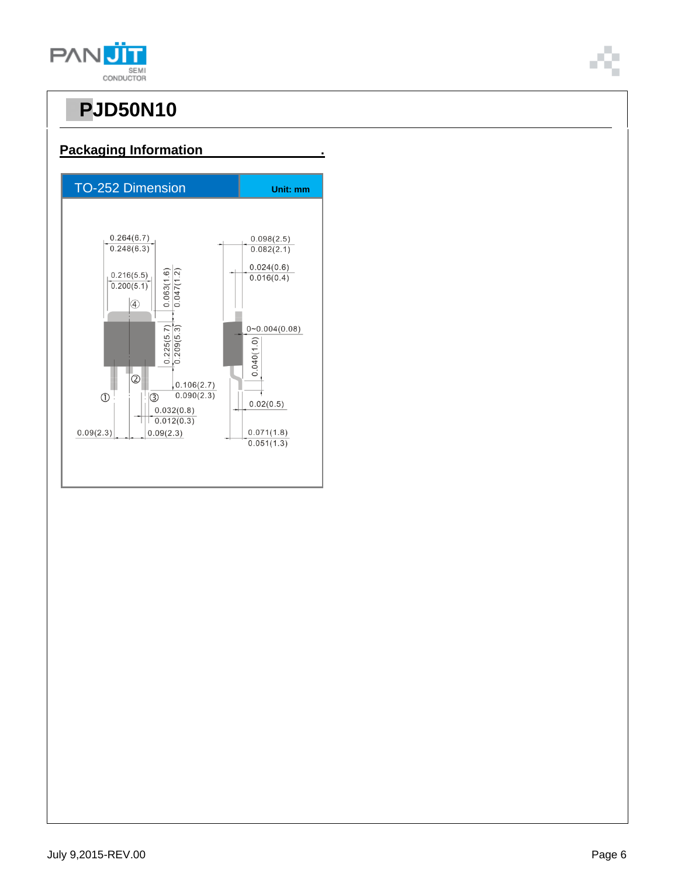

#### **Packaging Information .**

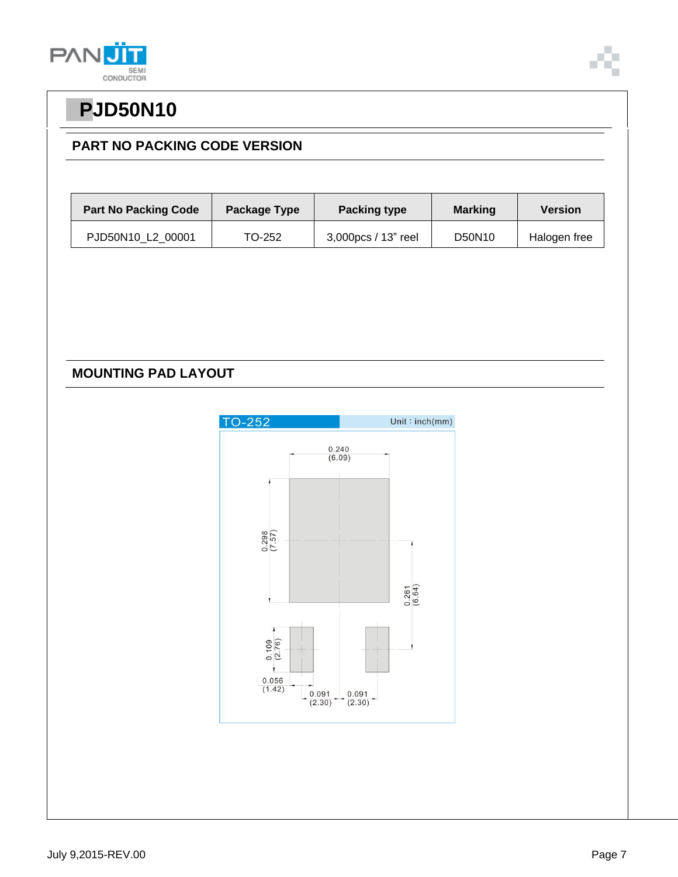

### **PART NO PACKING CODE VERSION**

| <b>Part No Packing Code</b> | Package Type | <b>Packing type</b><br><b>Marking</b> |        | <b>Version</b> |
|-----------------------------|--------------|---------------------------------------|--------|----------------|
| PJD50N10 L2 00001           | TO-252       | 3,000pcs / 13" reel                   | D50N10 | Halogen free   |

### **MOUNTING PAD LAYOUT**